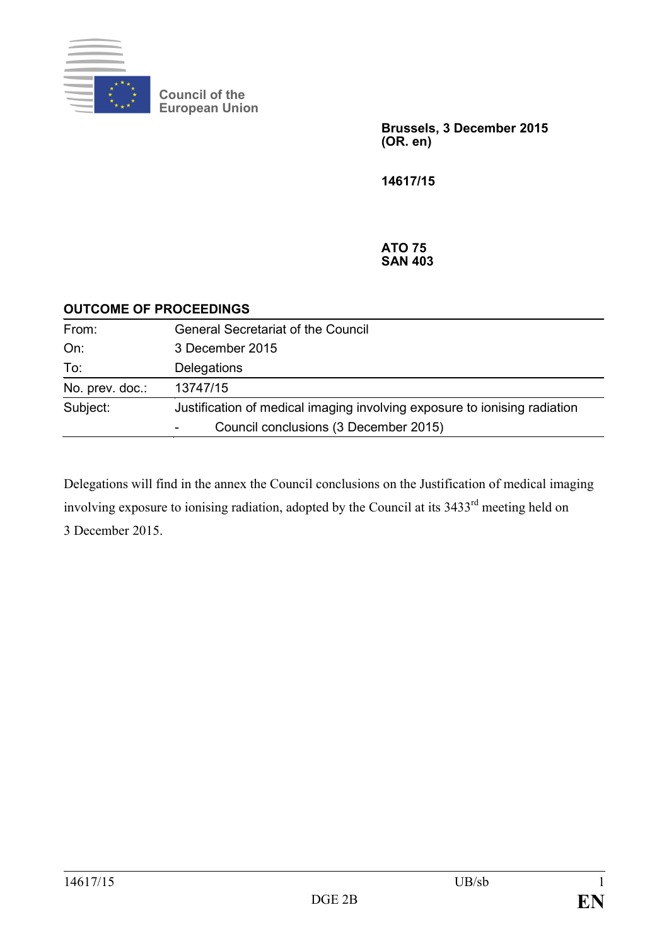

**Council of the European Union**

> **Brussels, 3 December 2015 (OR. en)**

**14617/15**

**ATO 75 SAN 403**

| <b>OUTCOME OF PROCEEDINGS</b> |                                                                           |
|-------------------------------|---------------------------------------------------------------------------|
| From:                         | <b>General Secretariat of the Council</b>                                 |
| On:                           | 3 December 2015                                                           |
| To:                           | Delegations                                                               |
| No. prev. doc.:               | 13747/15                                                                  |
| Subject:                      | Justification of medical imaging involving exposure to ionising radiation |
|                               | Council conclusions (3 December 2015)                                     |

Delegations will find in the annex the Council conclusions on the Justification of medical imaging involving exposure to ionising radiation, adopted by the Council at its 3433<sup>rd</sup> meeting held on 3 December 2015.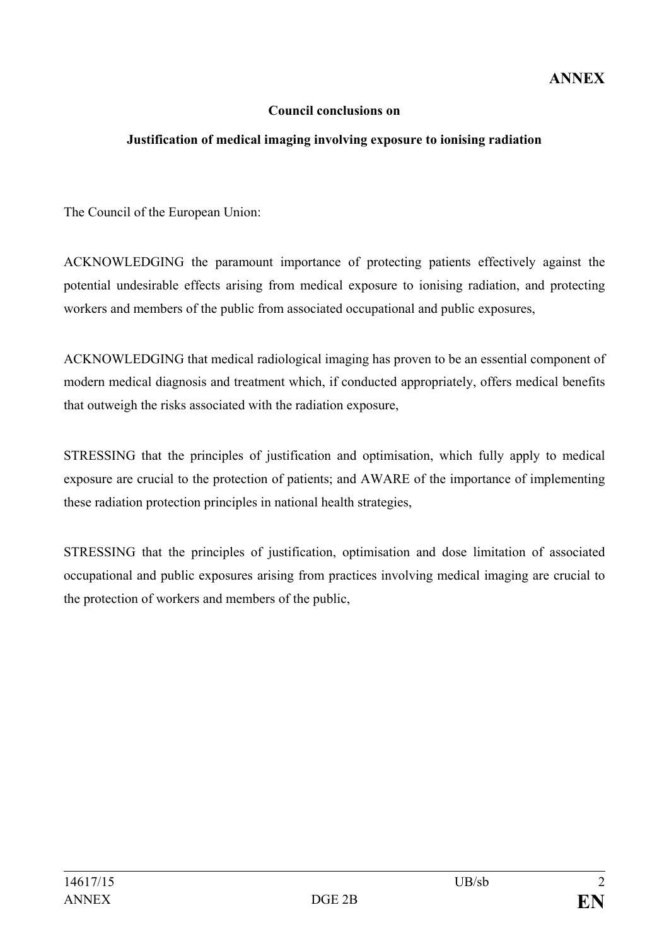## **Council conclusions on**

## **Justification of medical imaging involving exposure to ionising radiation**

The Council of the European Union:

ACKNOWLEDGING the paramount importance of protecting patients effectively against the potential undesirable effects arising from medical exposure to ionising radiation, and protecting workers and members of the public from associated occupational and public exposures,

ACKNOWLEDGING that medical radiological imaging has proven to be an essential component of modern medical diagnosis and treatment which, if conducted appropriately, offers medical benefits that outweigh the risks associated with the radiation exposure,

STRESSING that the principles of justification and optimisation, which fully apply to medical exposure are crucial to the protection of patients; and AWARE of the importance of implementing these radiation protection principles in national health strategies,

STRESSING that the principles of justification, optimisation and dose limitation of associated occupational and public exposures arising from practices involving medical imaging are crucial to the protection of workers and members of the public,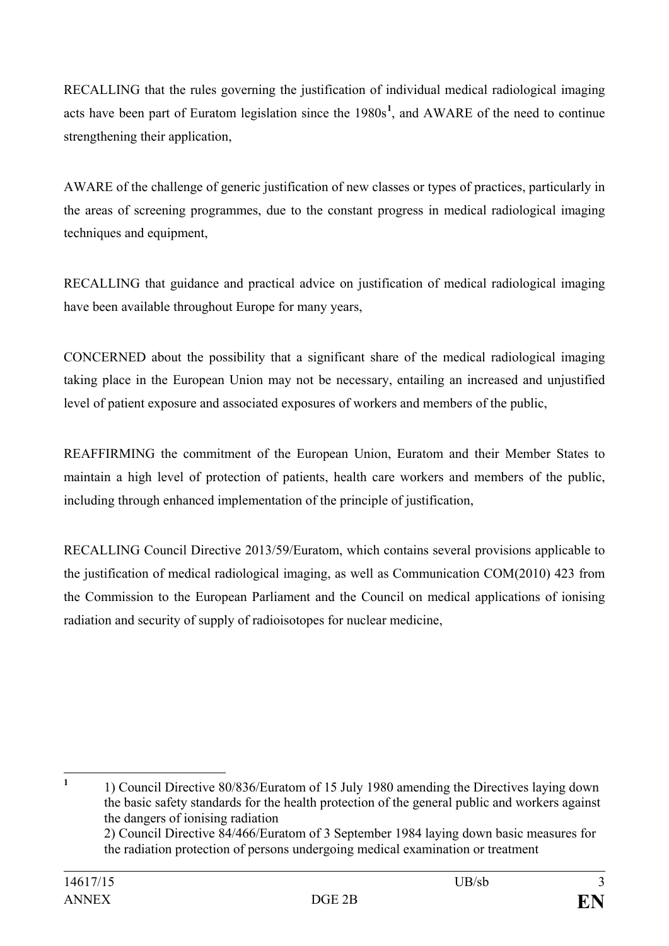RECALLING that the rules governing the justification of individual medical radiological imaging acts have been part of Euratom legislation since the 1980s**[1](#page-2-0)** , and AWARE of the need to continue strengthening their application,

AWARE of the challenge of generic justification of new classes or types of practices, particularly in the areas of screening programmes, due to the constant progress in medical radiological imaging techniques and equipment,

RECALLING that guidance and practical advice on justification of medical radiological imaging have been available throughout Europe for many years,

CONCERNED about the possibility that a significant share of the medical radiological imaging taking place in the European Union may not be necessary, entailing an increased and unjustified level of patient exposure and associated exposures of workers and members of the public,

REAFFIRMING the commitment of the European Union, Euratom and their Member States to maintain a high level of protection of patients, health care workers and members of the public, including through enhanced implementation of the principle of justification,

RECALLING Council Directive 2013/59/Euratom, which contains several provisions applicable to the justification of medical radiological imaging, as well as Communication COM(2010) 423 from the Commission to the European Parliament and the Council on medical applications of ionising radiation and security of supply of radioisotopes for nuclear medicine,

<span id="page-2-0"></span>

<sup>1</sup> 1) Council Directive 80/836/Euratom of 15 July 1980 amending the Directives laying down the basic safety standards for the health protection of the general public and workers against the dangers of ionising radiation

<sup>2)</sup> Council Directive 84/466/Euratom of 3 September 1984 laying down basic measures for the radiation protection of persons undergoing medical examination or treatment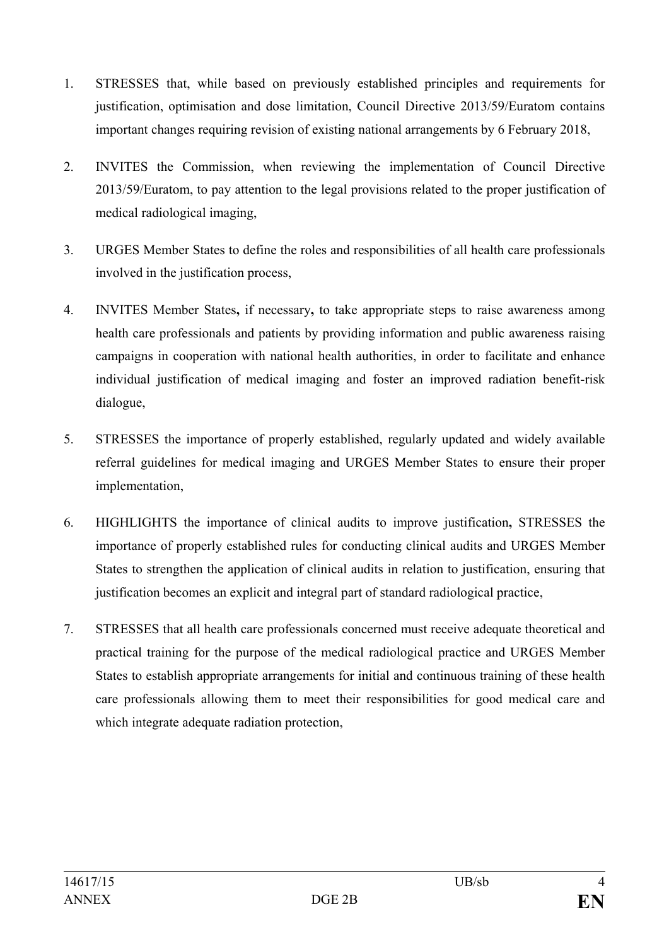- 1. STRESSES that, while based on previously established principles and requirements for justification, optimisation and dose limitation, Council Directive 2013/59/Euratom contains important changes requiring revision of existing national arrangements by 6 February 2018,
- 2. INVITES the Commission, when reviewing the implementation of Council Directive 2013/59/Euratom, to pay attention to the legal provisions related to the proper justification of medical radiological imaging,
- 3. URGES Member States to define the roles and responsibilities of all health care professionals involved in the justification process,
- 4. INVITES Member States**,** if necessary**,** to take appropriate steps to raise awareness among health care professionals and patients by providing information and public awareness raising campaigns in cooperation with national health authorities, in order to facilitate and enhance individual justification of medical imaging and foster an improved radiation benefit-risk dialogue,
- 5. STRESSES the importance of properly established, regularly updated and widely available referral guidelines for medical imaging and URGES Member States to ensure their proper implementation,
- 6. HIGHLIGHTS the importance of clinical audits to improve justification**,** STRESSES the importance of properly established rules for conducting clinical audits and URGES Member States to strengthen the application of clinical audits in relation to justification, ensuring that justification becomes an explicit and integral part of standard radiological practice,
- 7. STRESSES that all health care professionals concerned must receive adequate theoretical and practical training for the purpose of the medical radiological practice and URGES Member States to establish appropriate arrangements for initial and continuous training of these health care professionals allowing them to meet their responsibilities for good medical care and which integrate adequate radiation protection,